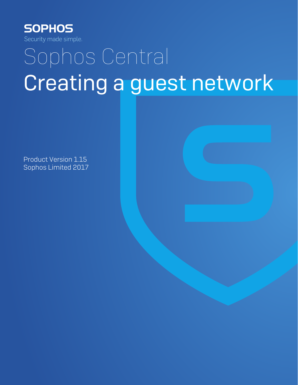

# Sophos Central Creating a guest network

Product Version 1.15 Sophos Limited 2017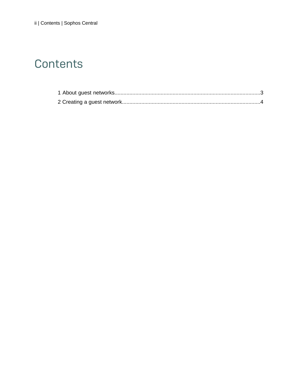## Contents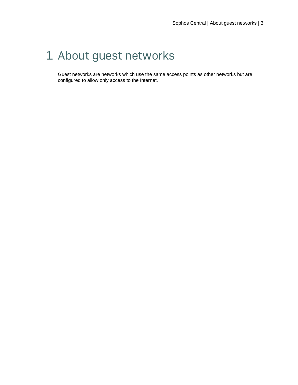## <span id="page-2-0"></span>1 About guest networks

Guest networks are networks which use the same access points as other networks but are configured to allow only access to the Internet.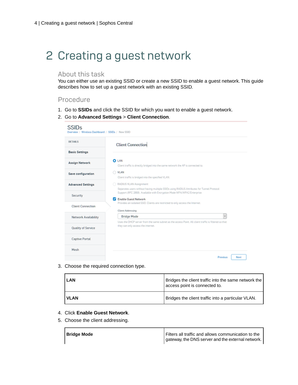# <span id="page-3-0"></span>2 Creating a guest network

### About this task

You can either use an existing SSID or create a new SSID to enable a guest network. This guide describes how to set up a guest network with an existing SSID.

### Procedure

- 1. Go to **SSIDs** and click the SSID for which you want to enable a guest network.
- 2. Go to **Advanced Settings** > **Client Connection**.

| SSIDs<br>Overview / Wireless Dashboard / SSIDs / New SSID |                                                                                                                                                                                                                                                                                                                                                                                                                   |  |  |  |
|-----------------------------------------------------------|-------------------------------------------------------------------------------------------------------------------------------------------------------------------------------------------------------------------------------------------------------------------------------------------------------------------------------------------------------------------------------------------------------------------|--|--|--|
| <b>DETAILS</b>                                            | <b>Client Connection</b>                                                                                                                                                                                                                                                                                                                                                                                          |  |  |  |
| <b>Basic Settings</b>                                     |                                                                                                                                                                                                                                                                                                                                                                                                                   |  |  |  |
| <b>Assign Network</b>                                     | <b>O</b> LAN<br>Olient traffic is directly bridged into the same network the AP is connected to.                                                                                                                                                                                                                                                                                                                  |  |  |  |
| Save configuration                                        | O VLAN<br>Client traffic is bridged into the specified VLAN.<br>RADIUS VLAN Assignment<br>Separates users without having multiple SSIDs using RADIUS Attributes for Tunnel Protocol.<br>Support (RFC 2868). Available with Encryption Mode WPA/WPA2 Enterprise.<br><b>Enable Guest Network</b><br>z<br>Provides an isolated SSID. Clients are restricted to only access the Internet.<br><b>Client Addressing</b> |  |  |  |
| <b>Advanced Settings</b>                                  |                                                                                                                                                                                                                                                                                                                                                                                                                   |  |  |  |
| Security                                                  |                                                                                                                                                                                                                                                                                                                                                                                                                   |  |  |  |
| <b>Client Connection</b>                                  |                                                                                                                                                                                                                                                                                                                                                                                                                   |  |  |  |
| <b>Network Availability</b>                               | <b>Bridge Mode</b><br>Uses the DHCP server from the same subnet as the access Point. All dient traffic is filtered so that                                                                                                                                                                                                                                                                                        |  |  |  |
| Quality of Service                                        | they can only access the internet.                                                                                                                                                                                                                                                                                                                                                                                |  |  |  |
| <b>Captive Portal</b>                                     |                                                                                                                                                                                                                                                                                                                                                                                                                   |  |  |  |
| Mesh                                                      |                                                                                                                                                                                                                                                                                                                                                                                                                   |  |  |  |
|                                                           | Next<br><b>Previous</b>                                                                                                                                                                                                                                                                                                                                                                                           |  |  |  |

3. Choose the required connection type.

| <b>LAN</b> | Bridges the client traffic into the same network the  <br>access point is connected to. |
|------------|-----------------------------------------------------------------------------------------|
| l VLAN     | Bridges the client traffic into a particular VLAN.                                      |

- 4. Click **Enable Guest Network**.
- 5. Choose the client addressing.

| <b>Bridge Mode</b> | Filters all traffic and allows communication to the |
|--------------------|-----------------------------------------------------|
|                    | gateway, the DNS server and the external network.   |